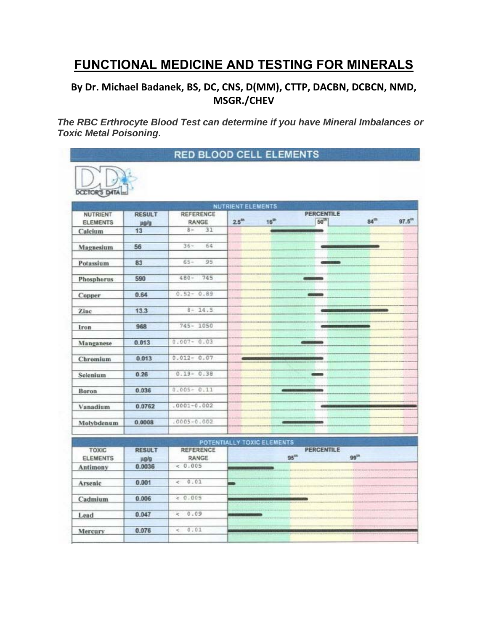## **FUNCTIONAL MEDICINE AND TESTING FOR MINERALS**

## **By Dr. Michael Badanek, BS, DC, CNS, D(MM), CTTP, DACBN, DCBCN, NMD, MSGR./CHEV**

*The RBC Erthrocyte Blood Test can determine if you have Mineral Imbalances or Toxic Metal Poisoning***.** 



 $0.047$ 

0.076

Lead

Mercury

 $0.09$ 

 $0.01$ 

 $\leq$ 

 $\epsilon$ 

| NUTRIENT<br><b>ELEMENTS</b>     | <b>RESULT</b><br>ug/g | REFERENCE<br>RANGE        | <b>PERCENTILE</b><br>$50^{15}$<br>$16^{th}$<br>$84^{\text{th}}$<br>$97.5^{\text{th}}$<br>25 <sup>th</sup> |
|---------------------------------|-----------------------|---------------------------|-----------------------------------------------------------------------------------------------------------|
| Calcium                         | 13                    | 31<br>$8 -$               |                                                                                                           |
| Magnesium                       | 56                    | $36 -$<br>64              |                                                                                                           |
| Potassium                       | 83                    | $65 -$<br>95              |                                                                                                           |
| Phosphorus                      | 590                   | 745<br>$480 -$            |                                                                                                           |
| Copper                          | 0.64                  | $0.52 - 0.89$             | <b>ODSTATES</b>                                                                                           |
| Zinc                            | 13.3                  | $8 - 14.5$                |                                                                                                           |
| Iron                            | 968                   | $745 - 1050$              |                                                                                                           |
| Manganese                       | 0.013                 | $0.007 - 0.03$            |                                                                                                           |
| Chromium                        | 0.013                 | $0.012 - 0.07$            |                                                                                                           |
| Selenium                        | 0.26                  | $0.19 - 0.38$             | -                                                                                                         |
| Boron                           | 0.036                 | $0.005 - 0.11$            |                                                                                                           |
| Vanadium                        | 0.0762                | $.0001 - 0.002$           |                                                                                                           |
| Molybdenum                      | 0.0008                | $.0005 - 0.002$           |                                                                                                           |
|                                 |                       |                           | POTENTIALLY TOXIC ELEMENTS                                                                                |
| <b>TOXIC</b><br><b>ELEMENTS</b> | <b>RESULT</b><br>ug/g | <b>REFERENCE</b><br>RANGE | <b>PERCENTILE</b><br>$95^{\text{m}}$<br>99 <sup>m</sup>                                                   |
| Antimony                        | 0.0036                | 0.005                     |                                                                                                           |
| Arsenic                         | 0.001                 | 0.01<br>e.                | m                                                                                                         |
| Cadmium                         | 0.006                 | < 0.005                   |                                                                                                           |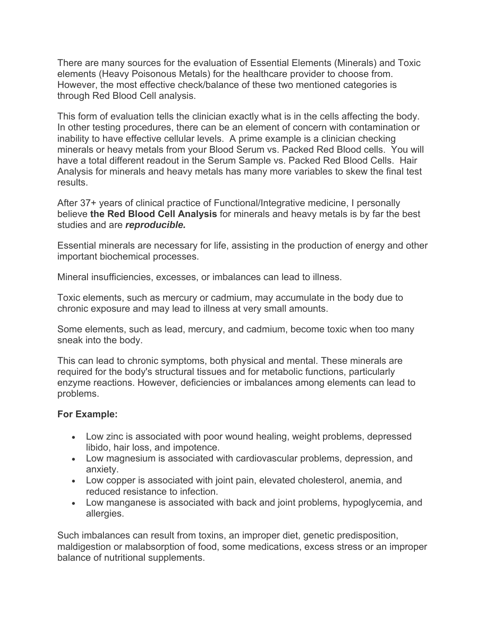There are many sources for the evaluation of Essential Elements (Minerals) and Toxic elements (Heavy Poisonous Metals) for the healthcare provider to choose from. However, the most effective check/balance of these two mentioned categories is through Red Blood Cell analysis.

This form of evaluation tells the clinician exactly what is in the cells affecting the body. In other testing procedures, there can be an element of concern with contamination or inability to have effective cellular levels. A prime example is a clinician checking minerals or heavy metals from your Blood Serum vs. Packed Red Blood cells. You will have a total different readout in the Serum Sample vs. Packed Red Blood Cells. Hair Analysis for minerals and heavy metals has many more variables to skew the final test results.

After 37+ years of clinical practice of Functional/Integrative medicine, I personally believe **the Red Blood Cell Analysis** for minerals and heavy metals is by far the best studies and are *reproducible.*

Essential minerals are necessary for life, assisting in the production of energy and other important biochemical processes.

Mineral insufficiencies, excesses, or imbalances can lead to illness.

Toxic elements, such as mercury or cadmium, may accumulate in the body due to chronic exposure and may lead to illness at very small amounts.

Some elements, such as lead, mercury, and cadmium, become toxic when too many sneak into the body.

This can lead to chronic symptoms, both physical and mental. These minerals are required for the body's structural tissues and for metabolic functions, particularly enzyme reactions. However, deficiencies or imbalances among elements can lead to problems.

## **For Example:**

- Low zinc is associated with poor wound healing, weight problems, depressed libido, hair loss, and impotence.
- Low magnesium is associated with cardiovascular problems, depression, and anxiety.
- Low copper is associated with joint pain, elevated cholesterol, anemia, and reduced resistance to infection.
- Low manganese is associated with back and joint problems, hypoglycemia, and allergies.

Such imbalances can result from toxins, an improper diet, genetic predisposition, maldigestion or malabsorption of food, some medications, excess stress or an improper balance of nutritional supplements.